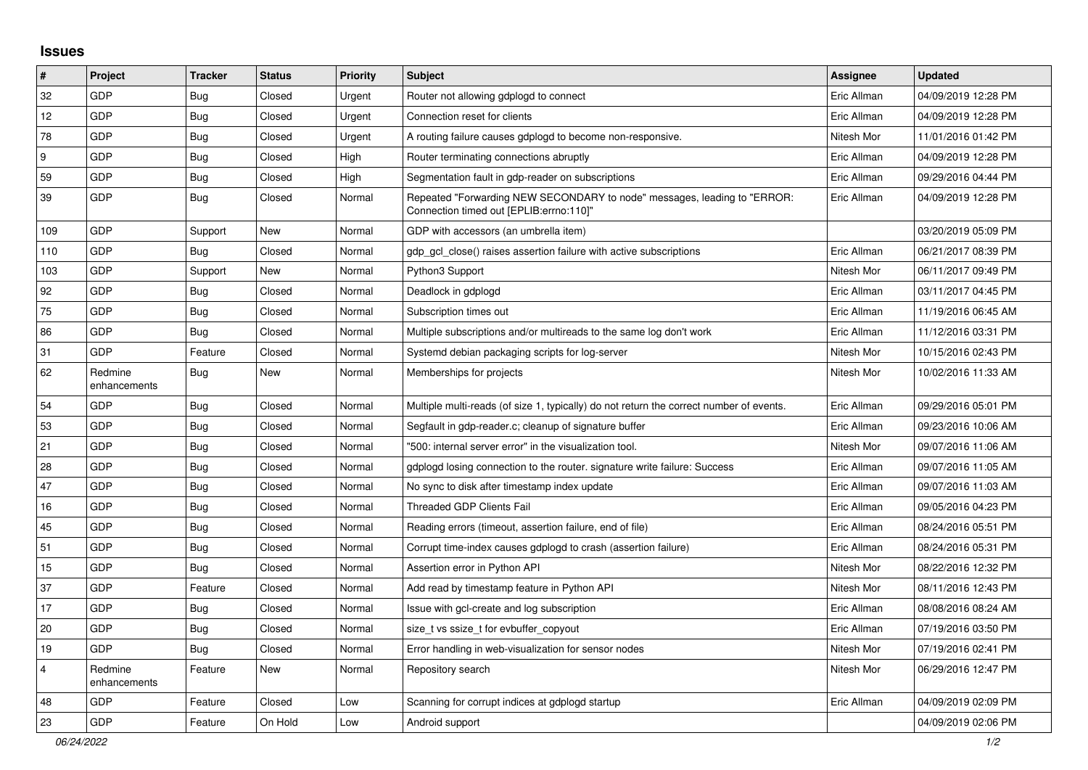## **Issues**

| $\pmb{\sharp}$          | Project                 | <b>Tracker</b> | <b>Status</b> | <b>Priority</b> | <b>Subject</b>                                                                                                      | <b>Assignee</b> | <b>Updated</b>      |
|-------------------------|-------------------------|----------------|---------------|-----------------|---------------------------------------------------------------------------------------------------------------------|-----------------|---------------------|
| 32                      | GDP                     | Bug            | Closed        | Urgent          | Router not allowing gdplogd to connect                                                                              | Eric Allman     | 04/09/2019 12:28 PM |
| 12                      | GDP                     | <b>Bug</b>     | Closed        | Urgent          | Connection reset for clients                                                                                        | Eric Allman     | 04/09/2019 12:28 PM |
| 78                      | GDP                     | <b>Bug</b>     | Closed        | Urgent          | A routing failure causes gdplogd to become non-responsive.                                                          | Nitesh Mor      | 11/01/2016 01:42 PM |
| 9                       | GDP                     | <b>Bug</b>     | Closed        | High            | Router terminating connections abruptly                                                                             | Eric Allman     | 04/09/2019 12:28 PM |
| 59                      | GDP                     | <b>Bug</b>     | Closed        | High            | Segmentation fault in gdp-reader on subscriptions                                                                   | Eric Allman     | 09/29/2016 04:44 PM |
| 39                      | GDP                     | Bug            | Closed        | Normal          | Repeated "Forwarding NEW SECONDARY to node" messages, leading to "ERROR:<br>Connection timed out [EPLIB:errno:110]" | Eric Allman     | 04/09/2019 12:28 PM |
| 109                     | GDP                     | Support        | <b>New</b>    | Normal          | GDP with accessors (an umbrella item)                                                                               |                 | 03/20/2019 05:09 PM |
| 110                     | GDP                     | Bug            | Closed        | Normal          | gdp gcl close() raises assertion failure with active subscriptions                                                  | Eric Allman     | 06/21/2017 08:39 PM |
| 103                     | GDP                     | Support        | <b>New</b>    | Normal          | Python3 Support                                                                                                     | Nitesh Mor      | 06/11/2017 09:49 PM |
| 92                      | GDP                     | <b>Bug</b>     | Closed        | Normal          | Deadlock in gdplogd                                                                                                 | Eric Allman     | 03/11/2017 04:45 PM |
| 75                      | GDP                     | <b>Bug</b>     | Closed        | Normal          | Subscription times out                                                                                              | Eric Allman     | 11/19/2016 06:45 AM |
| 86                      | GDP                     | <b>Bug</b>     | Closed        | Normal          | Multiple subscriptions and/or multireads to the same log don't work                                                 | Eric Allman     | 11/12/2016 03:31 PM |
| 31                      | GDP                     | Feature        | Closed        | Normal          | Systemd debian packaging scripts for log-server                                                                     | Nitesh Mor      | 10/15/2016 02:43 PM |
| 62                      | Redmine<br>enhancements | <b>Bug</b>     | New           | Normal          | Memberships for projects                                                                                            | Nitesh Mor      | 10/02/2016 11:33 AM |
| 54                      | GDP                     | <b>Bug</b>     | Closed        | Normal          | Multiple multi-reads (of size 1, typically) do not return the correct number of events.                             | Eric Allman     | 09/29/2016 05:01 PM |
| 53                      | GDP                     | <b>Bug</b>     | Closed        | Normal          | Segfault in gdp-reader.c; cleanup of signature buffer                                                               | Eric Allman     | 09/23/2016 10:06 AM |
| 21                      | GDP                     | <b>Bug</b>     | Closed        | Normal          | '500: internal server error" in the visualization tool.                                                             | Nitesh Mor      | 09/07/2016 11:06 AM |
| 28                      | GDP                     | Bug            | Closed        | Normal          | gdplogd losing connection to the router, signature write failure: Success                                           | Eric Allman     | 09/07/2016 11:05 AM |
| 47                      | GDP                     | <b>Bug</b>     | Closed        | Normal          | No sync to disk after timestamp index update                                                                        | Eric Allman     | 09/07/2016 11:03 AM |
| 16                      | GDP                     | Bug            | Closed        | Normal          | <b>Threaded GDP Clients Fail</b>                                                                                    | Eric Allman     | 09/05/2016 04:23 PM |
| 45                      | GDP                     | Bug            | Closed        | Normal          | Reading errors (timeout, assertion failure, end of file)                                                            | Eric Allman     | 08/24/2016 05:51 PM |
| 51                      | GDP                     | <b>Bug</b>     | Closed        | Normal          | Corrupt time-index causes gdplogd to crash (assertion failure)                                                      | Eric Allman     | 08/24/2016 05:31 PM |
| 15                      | GDP                     | <b>Bug</b>     | Closed        | Normal          | Assertion error in Python API                                                                                       | Nitesh Mor      | 08/22/2016 12:32 PM |
| 37                      | GDP                     | Feature        | Closed        | Normal          | Add read by timestamp feature in Python API                                                                         | Nitesh Mor      | 08/11/2016 12:43 PM |
| 17                      | GDP                     | <b>Bug</b>     | Closed        | Normal          | Issue with gcl-create and log subscription                                                                          | Eric Allman     | 08/08/2016 08:24 AM |
| 20                      | GDP                     | <b>Bug</b>     | Closed        | Normal          | size_t vs ssize_t for evbuffer_copyout                                                                              | Eric Allman     | 07/19/2016 03:50 PM |
| 19                      | GDP                     | <b>Bug</b>     | Closed        | Normal          | Error handling in web-visualization for sensor nodes                                                                | Nitesh Mor      | 07/19/2016 02:41 PM |
| $\overline{\mathbf{4}}$ | Redmine<br>enhancements | Feature        | New           | Normal          | Repository search                                                                                                   | Nitesh Mor      | 06/29/2016 12:47 PM |
| 48                      | GDP                     | Feature        | Closed        | Low             | Scanning for corrupt indices at gdplogd startup                                                                     | Eric Allman     | 04/09/2019 02:09 PM |
| 23                      | GDP                     | Feature        | On Hold       | Low             | Android support                                                                                                     |                 | 04/09/2019 02:06 PM |